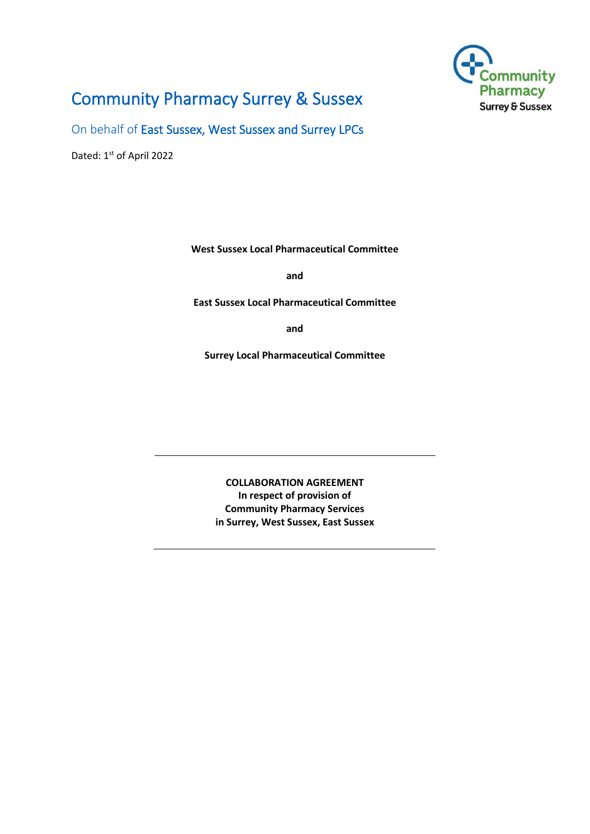

# Community Pharmacy Surrey & Sussex

On behalf of East Sussex, West Sussex and Surrey LPCs

Dated: 1st of April 2022

**West Sussex Local Pharmaceutical Committee**

**and**

**East Sussex Local Pharmaceutical Committee**

**and**

**Surrey Local Pharmaceutical Committee**

**COLLABORATION AGREEMENT In respect of provision of Community Pharmacy Services in Surrey, West Sussex, East Sussex**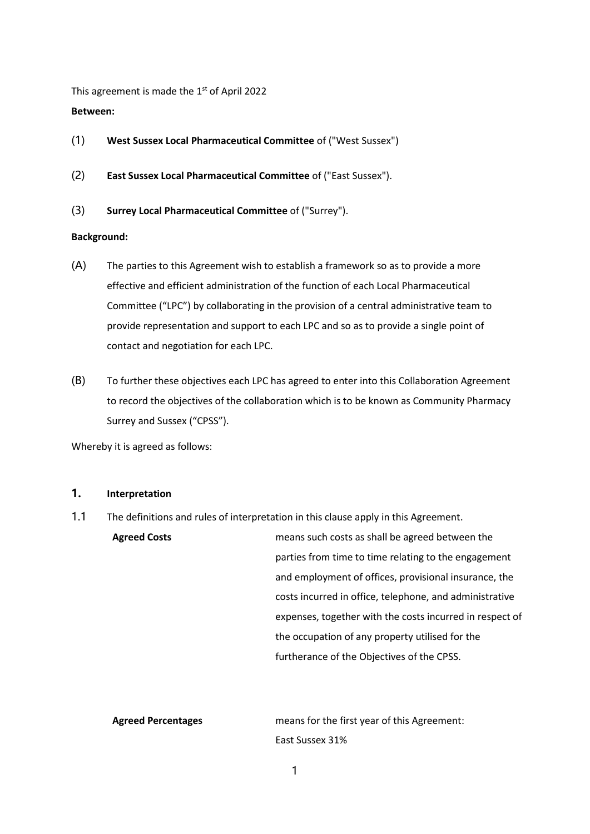This agreement is made the  $1<sup>st</sup>$  of April 2022 **Between:**

- (1) **West Sussex Local Pharmaceutical Committee** of ("West Sussex")
- (2) **East Sussex Local Pharmaceutical Committee** of ("East Sussex").
- (3) **Surrey Local Pharmaceutical Committee** of ("Surrey").

### **Background:**

- (A) The parties to this Agreement wish to establish a framework so as to provide a more effective and efficient administration of the function of each Local Pharmaceutical Committee ("LPC") by collaborating in the provision of a central administrative team to provide representation and support to each LPC and so as to provide a single point of contact and negotiation for each LPC.
- (B) To further these objectives each LPC has agreed to enter into this Collaboration Agreement to record the objectives of the collaboration which is to be known as Community Pharmacy Surrey and Sussex ("CPSS").

Whereby it is agreed as follows:

# **1. Interpretation**

1.1 The definitions and rules of interpretation in this clause apply in this Agreement.

Agreed Costs **Agreed Costs** means such costs as shall be agreed between the parties from time to time relating to the engagement and employment of offices, provisional insurance, the costs incurred in office, telephone, and administrative expenses, together with the costs incurred in respect of the occupation of any property utilised for the furtherance of the Objectives of the CPSS.

**Agreed Percentages** means for the first year of this Agreement: East Sussex 31%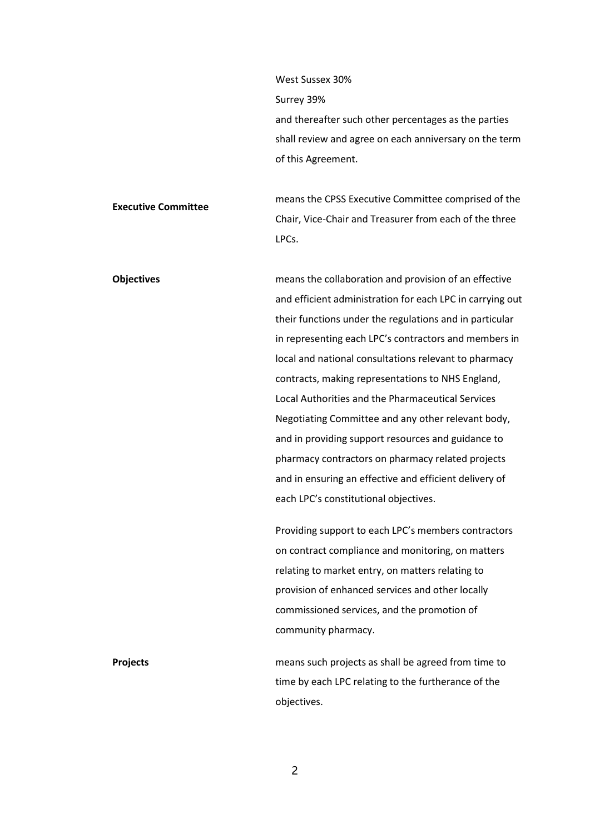West Sussex 30% Surrey 39% and thereafter such other percentages as the parties shall review and agree on each anniversary on the term of this Agreement.

means the CPSS Executive Committee comprised of the Chair, Vice-Chair and Treasurer from each of the three LPCs.

**Executive Committee** 

**Objectives means the collaboration and provision of an effective** and efficient administration for each LPC in carrying out their functions under the regulations and in particular in representing each LPC's contractors and members in local and national consultations relevant to pharmacy contracts, making representations to NHS England, Local Authorities and the Pharmaceutical Services Negotiating Committee and any other relevant body, and in providing support resources and guidance to pharmacy contractors on pharmacy related projects and in ensuring an effective and efficient delivery of each LPC's constitutional objectives.

> Providing support to each LPC's members contractors on contract compliance and monitoring, on matters relating to market entry, on matters relating to provision of enhanced services and other locally commissioned services, and the promotion of community pharmacy.

**Projects example 2** means such projects as shall be agreed from time to time by each LPC relating to the furtherance of the objectives.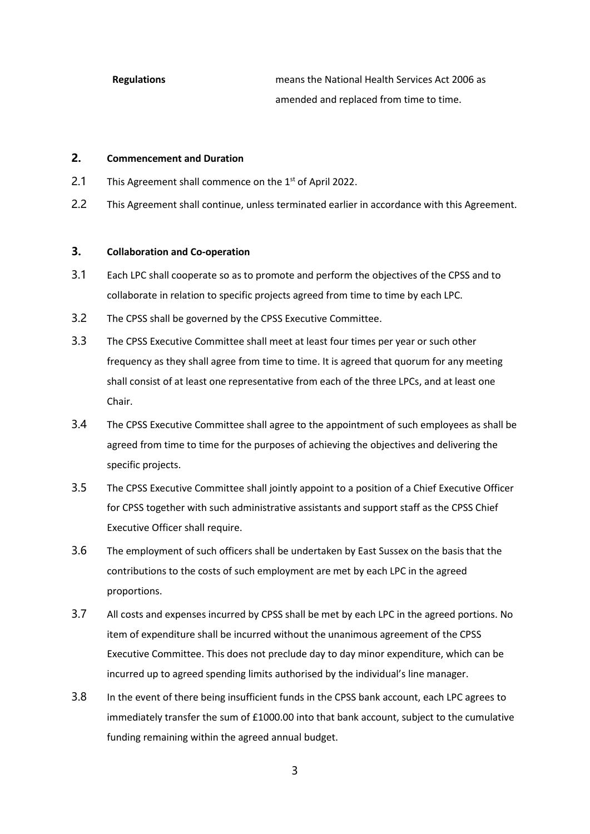**Regulations** means the National Health Services Act 2006 as amended and replaced from time to time.

# **2. Commencement and Duration**

- 2.1 This Agreement shall commence on the  $1<sup>st</sup>$  of April 2022.
- 2.2 This Agreement shall continue, unless terminated earlier in accordance with this Agreement.

### **3. Collaboration and Co-operation**

- 3.1 Each LPC shall cooperate so as to promote and perform the objectives of the CPSS and to collaborate in relation to specific projects agreed from time to time by each LPC.
- 3.2 The CPSS shall be governed by the CPSS Executive Committee.
- 3.3 The CPSS Executive Committee shall meet at least four times per year or such other frequency as they shall agree from time to time. It is agreed that quorum for any meeting shall consist of at least one representative from each of the three LPCs, and at least one Chair.
- 3.4 The CPSS Executive Committee shall agree to the appointment of such employees as shall be agreed from time to time for the purposes of achieving the objectives and delivering the specific projects.
- 3.5 The CPSS Executive Committee shall jointly appoint to a position of a Chief Executive Officer for CPSS together with such administrative assistants and support staff as the CPSS Chief Executive Officer shall require.
- 3.6 The employment of such officers shall be undertaken by East Sussex on the basis that the contributions to the costs of such employment are met by each LPC in the agreed proportions.
- 3.7 All costs and expenses incurred by CPSS shall be met by each LPC in the agreed portions. No item of expenditure shall be incurred without the unanimous agreement of the CPSS Executive Committee. This does not preclude day to day minor expenditure, which can be incurred up to agreed spending limits authorised by the individual's line manager.
- 3.8 In the event of there being insufficient funds in the CPSS bank account, each LPC agrees to immediately transfer the sum of £1000.00 into that bank account, subject to the cumulative funding remaining within the agreed annual budget.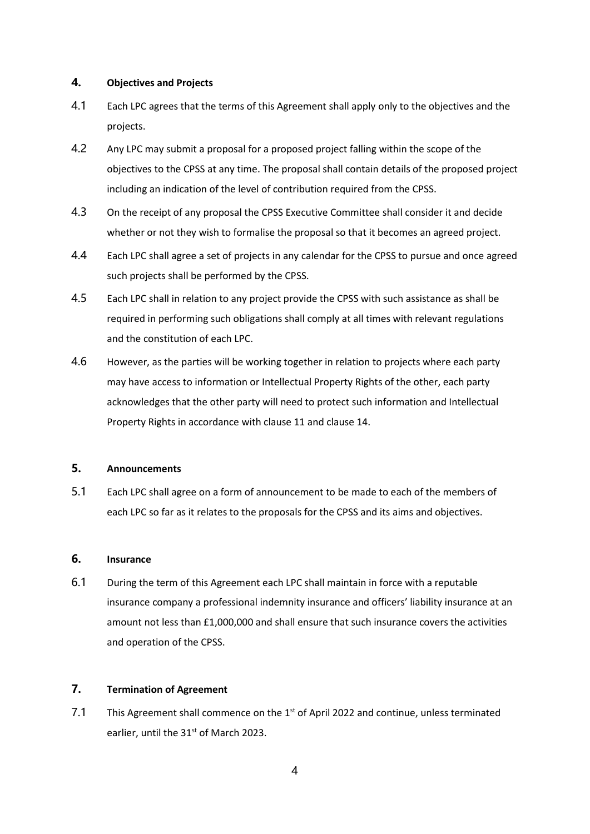# **4. Objectives and Projects**

- 4.1 Each LPC agrees that the terms of this Agreement shall apply only to the objectives and the projects.
- 4.2 Any LPC may submit a proposal for a proposed project falling within the scope of the objectives to the CPSS at any time. The proposal shall contain details of the proposed project including an indication of the level of contribution required from the CPSS.
- 4.3 On the receipt of any proposal the CPSS Executive Committee shall consider it and decide whether or not they wish to formalise the proposal so that it becomes an agreed project.
- 4.4 Each LPC shall agree a set of projects in any calendar for the CPSS to pursue and once agreed such projects shall be performed by the CPSS.
- 4.5 Each LPC shall in relation to any project provide the CPSS with such assistance as shall be required in performing such obligations shall comply at all times with relevant regulations and the constitution of each LPC.
- 4.6 However, as the parties will be working together in relation to projects where each party may have access to information or Intellectual Property Rights of the other, each party acknowledges that the other party will need to protect such information and Intellectual Property Rights in accordance with clause 11 and clause 14.

## **5. Announcements**

5.1 Each LPC shall agree on a form of announcement to be made to each of the members of each LPC so far as it relates to the proposals for the CPSS and its aims and objectives.

# **6. Insurance**

6.1 During the term of this Agreement each LPC shall maintain in force with a reputable insurance company a professional indemnity insurance and officers' liability insurance at an amount not less than £1,000,000 and shall ensure that such insurance covers the activities and operation of the CPSS.

# **7. Termination of Agreement**

7.1 This Agreement shall commence on the  $1<sup>st</sup>$  of April 2022 and continue, unless terminated earlier, until the 31<sup>st</sup> of March 2023.